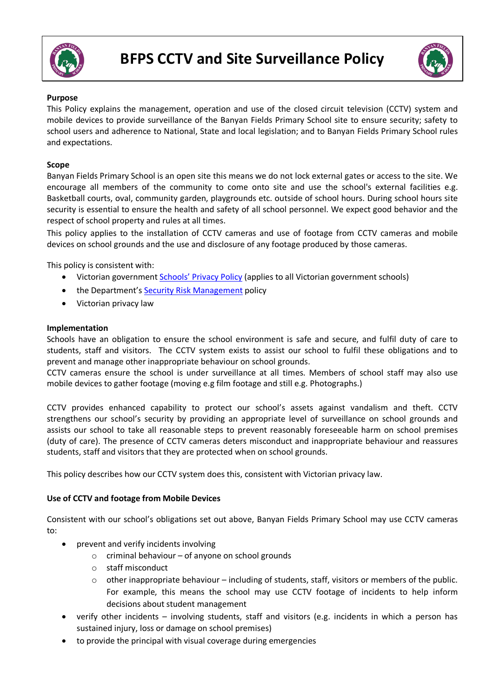



### **Purpose**

This Policy explains the management, operation and use of the closed circuit television (CCTV) system and mobile devices to provide surveillance of the Banyan Fields Primary School site to ensure security; safety to school users and adherence to National, State and local legislation; and to Banyan Fields Primary School rules and expectations.

### **Scope**

Banyan Fields Primary School is an open site this means we do not lock external gates or access to the site. We encourage all members of the community to come onto site and use the school's external facilities e.g. Basketball courts, oval, community garden, playgrounds etc. outside of school hours. During school hours site security is essential to ensure the health and safety of all school personnel. We expect good behavior and the respect of school property and rules at all times.

This policy applies to the installation of CCTV cameras and use of footage from CCTV cameras and mobile devices on school grounds and the use and disclosure of any footage produced by those cameras.

This policy is consistent with:

- Victorian government Schools' Privacy Policy (applies to all Victorian government schools)
- the Department's Security Risk Management policy
- Victorian privacy law

### **Implementation**

Schools have an obligation to ensure the school environment is safe and secure, and fulfil duty of care to students, staff and visitors. The CCTV system exists to assist our school to fulfil these obligations and to prevent and manage other inappropriate behaviour on school grounds.

CCTV cameras ensure the school is under surveillance at all times. Members of school staff may also use mobile devices to gather footage (moving e.g film footage and still e.g. Photographs.)

CCTV provides enhanced capability to protect our school's assets against vandalism and theft. CCTV strengthens our school's security by providing an appropriate level of surveillance on school grounds and assists our school to take all reasonable steps to prevent reasonably foreseeable harm on school premises (duty of care). The presence of CCTV cameras deters misconduct and inappropriate behaviour and reassures students, staff and visitors that they are protected when on school grounds.

This policy describes how our CCTV system does this, consistent with Victorian privacy law.

### **Use of CCTV and footage from Mobile Devices**

Consistent with our school's obligations set out above, Banyan Fields Primary School may use CCTV cameras to:

- prevent and verify incidents involving
	- $\circ$  criminal behaviour of anyone on school grounds
	- o staff misconduct
	- $\circ$  other inappropriate behaviour including of students, staff, visitors or members of the public. For example, this means the school may use CCTV footage of incidents to help inform decisions about student management
- verify other incidents involving students, staff and visitors (e.g. incidents in which a person has sustained injury, loss or damage on school premises)
- to provide the principal with visual coverage during emergencies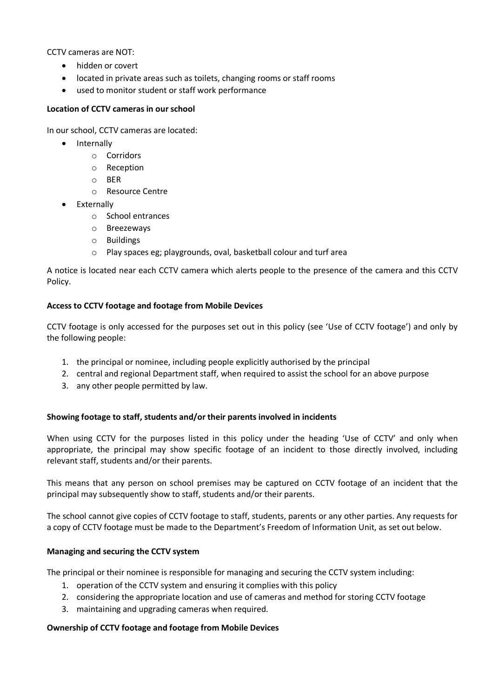CCTV cameras are NOT:

- hidden or covert
- located in private areas such as toilets, changing rooms or staff rooms
- used to monitor student or staff work performance

### **Location of CCTV cameras in our school**

In our school, CCTV cameras are located:

- Internally
	- o Corridors
	- o Reception
	- o BER
	- o Resource Centre
- Externally
	- o School entrances
	- o Breezeways
	- o Buildings
	- o Play spaces eg; playgrounds, oval, basketball colour and turf area

A notice is located near each CCTV camera which alerts people to the presence of the camera and this CCTV Policy.

# **Access to CCTV footage and footage from Mobile Devices**

CCTV footage is only accessed for the purposes set out in this policy (see 'Use of CCTV footage') and only by the following people:

- 1. the principal or nominee, including people explicitly authorised by the principal
- 2. central and regional Department staff, when required to assist the school for an above purpose
- 3. any other people permitted by law.

# **Showing footage to staff, students and/or their parents involved in incidents**

When using CCTV for the purposes listed in this policy under the heading 'Use of CCTV' and only when appropriate, the principal may show specific footage of an incident to those directly involved, including relevant staff, students and/or their parents.

This means that any person on school premises may be captured on CCTV footage of an incident that the principal may subsequently show to staff, students and/or their parents.

The school cannot give copies of CCTV footage to staff, students, parents or any other parties. Any requests for a copy of CCTV footage must be made to the Department's Freedom of Information Unit, as set out below.

# **Managing and securing the CCTV system**

The principal or their nominee is responsible for managing and securing the CCTV system including:

- 1. operation of the CCTV system and ensuring it complies with this policy
- 2. considering the appropriate location and use of cameras and method for storing CCTV footage
- 3. maintaining and upgrading cameras when required.

# **Ownership of CCTV footage and footage from Mobile Devices**